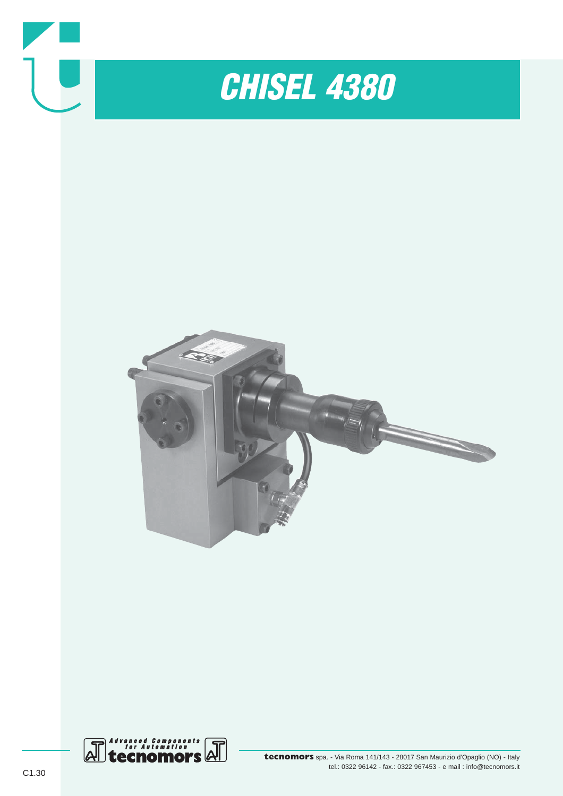

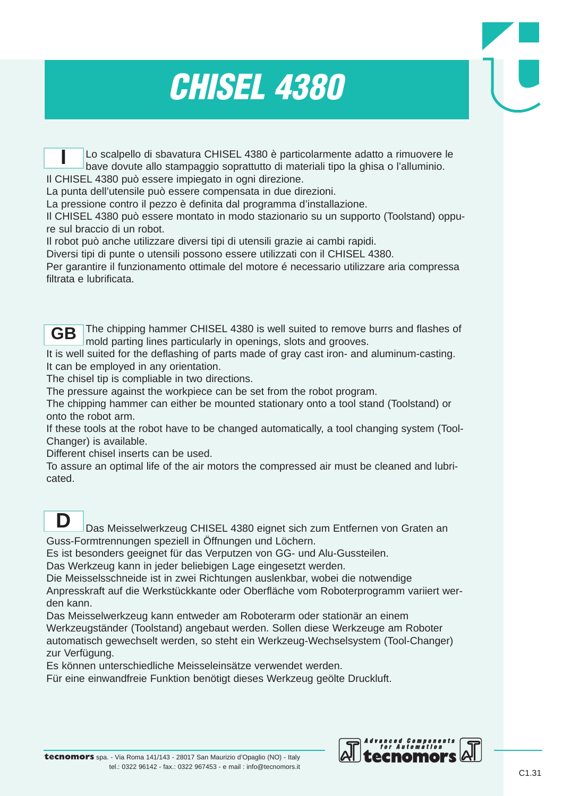## *CHISEL 4380*

Lo scalpello di sbavatura CHISEL 4380 è particolarmente adatto a rimuovere le bave dovute allo stampaggio soprattutto di materiali tipo la ghisa o l'alluminio. Il CHISEL 4380 può essere impiegato in ogni direzione. **I**

La punta dell'utensile può essere compensata in due direzioni.

La pressione contro il pezzo è definita dal programma d'installazione.

Il CHISEL 4380 può essere montato in modo stazionario su un supporto (Toolstand) oppure sul braccio di un robot.

Il robot può anche utilizzare diversi tipi di utensili grazie ai cambi rapidi.

Diversi tipi di punte o utensili possono essere utilizzati con il CHISEL 4380.

Per garantire il funzionamento ottimale del motore é necessario utilizzare aria compressa filtrata e lubrificata.

The chipping hammer CHISEL 4380 is well suited to remove burrs and flashes of mold parting lines particularly in openings, slots and grooves. **GB**

It is well suited for the deflashing of parts made of gray cast iron- and aluminum-casting. It can be employed in any orientation.

The chisel tip is compliable in two directions.

The pressure against the workpiece can be set from the robot program.

The chipping hammer can either be mounted stationary onto a tool stand (Toolstand) or onto the robot arm.

If these tools at the robot have to be changed automatically, a tool changing system (Tool-Changer) is available.

Different chisel inserts can be used.

To assure an optimal life of the air motors the compressed air must be cleaned and lubricated.

### **D**

Das Meisselwerkzeug CHISEL 4380 eignet sich zum Entfernen von Graten an Guss-Formtrennungen speziell in Öffnungen und Löchern.

Es ist besonders geeignet für das Verputzen von GG- und Alu-Gussteilen.

Das Werkzeug kann in jeder beliebigen Lage eingesetzt werden.

Die Meisselsschneide ist in zwei Richtungen auslenkbar, wobei die notwendige Anpresskraft auf die Werkstückkante oder Oberfläche vom Roboterprogramm variiert werden kann.

Das Meisselwerkzeug kann entweder am Roboterarm oder stationär an einem Werkzeugständer (Toolstand) angebaut werden. Sollen diese Werkzeuge am Roboter automatisch gewechselt werden, so steht ein Werkzeug-Wechselsystem (Tool-Changer) zur Verfügung.

Es können unterschiedliche Meisseleinsätze verwendet werden.

Für eine einwandfreie Funktion benötigt dieses Werkzeug geölte Druckluft.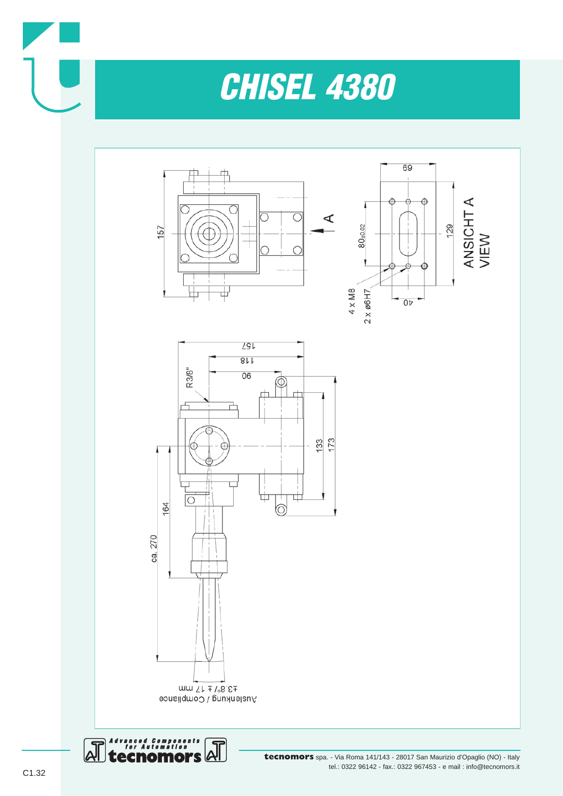

# *CHISEL 4380*







 $num LL \mp 1.8E$ Auslenkung / Compliance